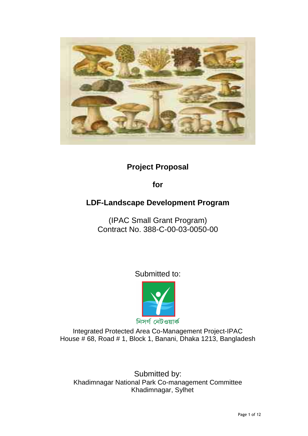

# **Project Proposal**

**for** 

# **LDF-Landscape Development Program**

(IPAC Small Grant Program) Contract No. 388-C-00-03-0050-00

Submitted to:



Integrated Protected Area Co-Management Project-IPAC House # 68, Road # 1, Block 1, Banani, Dhaka 1213, Bangladesh

Submitted by: Khadimnagar National Park Co-management Committee Khadimnagar, Sylhet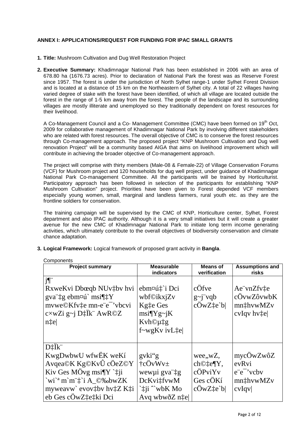## **ANNEX I: APPLICATIONS/REQUEST FOR FUNDING FOR IPAC SMALL GRANTS**

- **1. Title:** Mushroom Cultivation and Dug Well Restoration Project
- **2. Executive Summary:** Khadimnagar National Park has been established in 2006 with an area of 678.80 ha (1676.73 acres). Prior to declaration of National Park the forest was as Reserve Forest since 1957. The forest is under the jurisdiction of North Sylhet range-1 under Sylhet Forest Division and is located at a distance of 15 km on the Northeastern of Sylhet city. A total of 22 villages having varied degree of stake with the forest have been identified, of which all village are located outside the forest in the range of 1-5 km away from the forest. The people of the landscape and its surrounding villages are mostly illiterate and unemployed so they traditionally dependent on forest resources for their livelihood.

A Co-Management Council and a Co- Management Committee (CMC) have been formed on 19<sup>th</sup> Oct. 2009 for collaborative management of Khadimnagar National Park by involving different stakeholders who are related with forest resources. The overall objective of CMC is to conserve the forest resources through Co-management approach. The proposed project "KNP Mushroom Cultivation and Dug well renovation Project" will be a community based AIGA that aims on livelihood improvement which will contribute in achieving the broader objective of Co-management approach.

The project will comprise with thirty members (Male-08 & Female-22) of Village Conservation Forums (VCF) for Mushroom project and 120 households for dug well project, under guidance of Khadimnagar National Park Co-management Committee. All the participants will be trained by Horticulturist. Participatory approach has been followed in selection of the participants for establishing "KNP Mushroom Cultivation" project. Priorities have been given to Forest depended VCF members especially young women, small, marginal and landless farmers, rural youth etc. as they are the frontline soldiers for conservation.

The training campaign will be supervised by the CMC of KNP, Horticulture center, Sylhet, Forest department and also IPAC authority. Although it is a very small initiatives but it will create a greater avenue for the new CMC of Khadimnagar National Park to initiate long term income generating activities, which ultimately contribute to the overall objectives of biodiversity conservation and climate chance adaptation.

**3. Logical Framework:** Logical framework of proposed grant activity in **Bangla**.

| <b>Project summary</b>                                                                                                                                                                                   | <b>Measurable</b><br>indicators                                                                     | <b>Means of</b><br>verification                                               | <b>Assumptions and</b><br>risks                                   |
|----------------------------------------------------------------------------------------------------------------------------------------------------------------------------------------------------------|-----------------------------------------------------------------------------------------------------|-------------------------------------------------------------------------------|-------------------------------------------------------------------|
| j¶"<br>RxweKvi Dbœqb NUv‡bv hvi<br>gva tg ebm¤ú` msi¶tY<br>mvwe©Kfv‡e mn-e"e" vbcvi<br>$c \times wZi$ g~j D $\ddagger$ Ïk AwR©Z<br>n‡e                                                                   | ebm¤ú‡`i Dci<br>wbf©ikxjZv<br>Kgte Ges<br>$msi\PYg\sim iK$<br>Kvh©µ‡g<br>$f$ ~wg $Kv$ iv $Lte$      | cÖfve<br>$g \sim j \dot{g}$ vqb<br>$c\ddot{O}wZ\ddagger e'b$                  | Ae vnZfvte<br>cÖvwZôvwbK<br>mn‡hvwMZv<br>$c$ vIqv hv $\uparrow$ e |
| D <sup>†</sup> İk"<br>KwgDwbwU wfwEK weKí<br>Avqea©K Kg©KvÛ cÖeZ©Y<br>Kiv Ges MÖvg msi $\P$ Y ` $\ddagger$ ji<br>`wi` <sup>a</sup> m`m`‡`i A_©‰bwZK<br>myweavw` evov‡by hv‡Z K‡i<br>eb Ges cÖwZtetki Dci | gvki"g<br>$\dagger c\ddot{O}vWv\pm$<br>wewµi gva tg<br>DcKvitfvwM<br>`‡ji ^`wbK Mo<br>Avq wbwðZ n‡e | wee, wZ,<br>ch©‡e¶Y,<br>$c\ddot{O}PviYv$<br>Ges cÖKí<br>$c\ddot{O}$ w $Zte'b$ | mycÖwZwôZ<br>evRvi<br>$e^-e^-$ vcby<br>mnthvwMZv<br>cvIqv         |

**Components**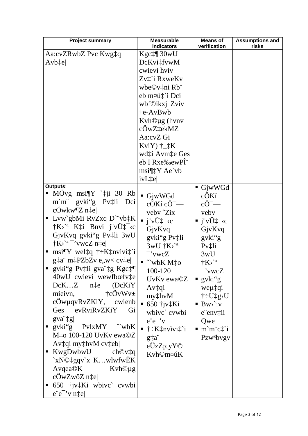| <b>Project summary</b>                                                                        | <b>Measurable</b><br>indicators                                                                                                                                                  | <b>Means of</b><br>verification                                    | <b>Assumptions and</b><br>risks |
|-----------------------------------------------------------------------------------------------|----------------------------------------------------------------------------------------------------------------------------------------------------------------------------------|--------------------------------------------------------------------|---------------------------------|
| Aa:cvZRwbZ Pvc Kwg‡q                                                                          | Kgc‡¶ 30wU                                                                                                                                                                       |                                                                    |                                 |
| Avb‡e                                                                                         | DcKvi‡fvwM                                                                                                                                                                       |                                                                    |                                 |
|                                                                                               | cwievi hviv                                                                                                                                                                      |                                                                    |                                 |
|                                                                                               | Zv‡`i RxweKv                                                                                                                                                                     |                                                                    |                                 |
|                                                                                               | wbe©v‡ni Rb"                                                                                                                                                                     |                                                                    |                                 |
|                                                                                               | eb m¤ú‡`i Dci                                                                                                                                                                    |                                                                    |                                 |
|                                                                                               | wbf©ikxj  Zviv                                                                                                                                                                   |                                                                    |                                 |
|                                                                                               | te-AvBwb                                                                                                                                                                         |                                                                    |                                 |
|                                                                                               | Kvh©µg (hvnv                                                                                                                                                                     |                                                                    |                                 |
|                                                                                               | cÓwZ‡ekMZ                                                                                                                                                                        |                                                                    |                                 |
|                                                                                               | Aa:cvZ Gi                                                                                                                                                                        |                                                                    |                                 |
|                                                                                               | $KviY$ ) $\uparrow$ $\downarrow$ K                                                                                                                                               |                                                                    |                                 |
|                                                                                               | wd‡i Avm‡e Ges                                                                                                                                                                   |                                                                    |                                 |
|                                                                                               | eb I Rxe‰ewPÎ <sup>"</sup>                                                                                                                                                       |                                                                    |                                 |
|                                                                                               | $msi\P\ddagger Y$ Ae`vb                                                                                                                                                          |                                                                    |                                 |
|                                                                                               | ivL‡e                                                                                                                                                                            |                                                                    |                                 |
| Outputs:                                                                                      |                                                                                                                                                                                  | GjwWGd                                                             |                                 |
| MOvg msi $\P$ Y ` $\ddagger$ ji 30 Rb                                                         | $\blacksquare$ GjwWGd                                                                                                                                                            | $c$ $OK1$                                                          |                                 |
| gvki"g Pv‡li<br>$m$ $m$ $\ddot{\ }$<br>Dci                                                    | $c\ddot{\rm O}$ Kí $c\ddot{\rm O}$ <sup>-</sup> —                                                                                                                                | $c\ddot{\mathrm{O}}^{-}$ —                                         |                                 |
| $c$ Öwkw¶Z n $\ddagger$ e                                                                     | veby 'Zix                                                                                                                                                                        | veby                                                               |                                 |
| Lvw`gbMi RvZxq D`"vb‡K                                                                        | $\blacksquare$ j"vÛ‡ <sup>-</sup> <c< th=""><th><math>\overline{\mathbf{y}}</math> j v<math>\hat{\mathbf{U}}</math> <math>\uparrow</math> <math>\sim</math> c</th><th></th></c<> | $\overline{\mathbf{y}}$ j v $\hat{\mathbf{U}}$ $\uparrow$ $\sim$ c |                                 |
| $\dagger K$ <sup>2</sup> K <sup><math>\dagger</math></sup> i Bnvi j v $\hat{U}^{\dagger -}$ c | GjvKvq                                                                                                                                                                           | GjvKvq                                                             |                                 |
| GjvKvq gvki"g Pv‡li 3wU                                                                       | gvki"g Pv‡li                                                                                                                                                                     | gvki"g                                                             |                                 |
| $\dagger K$ <sup>2 -</sup> 'vwcZ n $\ddagger$ e                                               | $3wU$ $\dagger$ K $\rightarrow$ <sup>2</sup>                                                                                                                                     | Pvtli                                                              |                                 |
| $msi\sqrt{Y}$ weltq $\div$ Ktnvivit i<br>Ξ                                                    | -'vwcZ                                                                                                                                                                           | 3wU                                                                |                                 |
| $gt{a}$ m <sup><math>\dagger</math></sup> PZbZv e, w $\times$ cv $\text{te}$                  | $\sim$ wbK M $\ddagger$ o                                                                                                                                                        | $\dagger K$ <sup>a</sup>                                           |                                 |
| ■ gvki"g Pv‡li gva"‡g Kgc‡¶                                                                   | 100-120                                                                                                                                                                          | - 'vwcZ                                                            |                                 |
| 40wU cwievi wewfbœfv‡e                                                                        | UvKv ewa©Z                                                                                                                                                                       | $\bullet$ gvki"g                                                   |                                 |
| $DcKZ$ n‡e<br>(DcKiY)                                                                         | Av‡qi                                                                                                                                                                            | weµ‡qi                                                             |                                 |
| $\dagger$ cÖvWv $\pm$<br>mieivn,                                                              | $my\ddagger hvM$                                                                                                                                                                 | $\dagger$ $\div U \ddagger g \times U$                             |                                 |
| $c\ddot{O}$ wµqv $RvZKiY$ , cwienb                                                            | $\blacksquare$ 650 † jv $\ddagger$ Ki                                                                                                                                            | $\blacksquare$ Bw>`iv                                              |                                 |
| evRviRvZKiY<br>Gi<br>Ges                                                                      | wbivc` cvwbi                                                                                                                                                                     | $e$ env $\ddagger$ ii                                              |                                 |
| $\left  \right $ gva $\left  \right $                                                         | $e^-e^-v$                                                                                                                                                                        | Qwe                                                                |                                 |
| gvki"g PvlxMY <sup>N</sup> wbK<br>ш                                                           | $\blacksquare$ † $\pm$ K $\ddagger$ nvivi $\ddagger$ `i                                                                                                                          | $m\ddot{m}\ddot{c}$ ; $i$                                          |                                 |
| M $\ddagger$ o 100-120 UvKv ewa©Z                                                             | g‡a"                                                                                                                                                                             | Pzw <sup>3</sup> bvgv                                              |                                 |
| $Av$ : qi my: hvM cv: eb                                                                      | $e\ddot{U}zZ_1cyY\odot$                                                                                                                                                          |                                                                    |                                 |
| KwgDwbwU<br>$ch$ ©v $\ddagger$ q<br>ш                                                         | Kvh©m¤úK                                                                                                                                                                         |                                                                    |                                 |
| `xN©‡gqv`x KwlwfwEK                                                                           |                                                                                                                                                                                  |                                                                    |                                 |
| $A\nu q$ ea $\odot K$<br>Kvh©µg                                                               |                                                                                                                                                                                  |                                                                    |                                 |
| $c\ddot{\text{O}}$ w $Zw\hat{o}Z$ n‡e                                                         |                                                                                                                                                                                  |                                                                    |                                 |
| 650 †jv‡Ki wbivc` cvwbi                                                                       |                                                                                                                                                                                  |                                                                    |                                 |
| e"e" v n‡e                                                                                    |                                                                                                                                                                                  |                                                                    |                                 |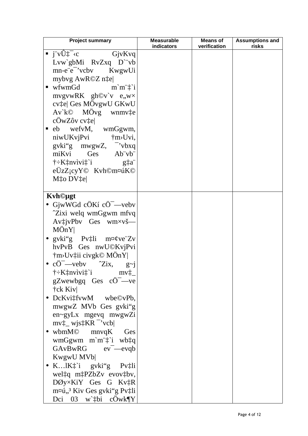| <b>Project summary</b>                                                                      | <b>Measurable</b> | <b>Means of</b> | <b>Assumptions and</b> |
|---------------------------------------------------------------------------------------------|-------------------|-----------------|------------------------|
|                                                                                             | indicators        | verification    | risks                  |
| $\blacksquare$ j"vÛ‡ <sup>-</sup> <c<br>GjvKvq<br/>Lvw`gbMi RvZxq D`"vb</c<br>              |                   |                 |                        |
| mn-e"e" vcbv KwgwUi                                                                         |                   |                 |                        |
| mybvg AwR©Z n‡e                                                                             |                   |                 |                        |
| $\blacksquare$ wfwmGd<br>m'm''                                                              |                   |                 |                        |
| mvgvwRK gh©v`v e,w×                                                                         |                   |                 |                        |
| cv‡e Ges MÖvgwU GKwU                                                                        |                   |                 |                        |
| $Av$ <sup>k<math>\odot</math></sup> MO <sup>vg</sup> wnmv <sup><math>\ddagger</math>e</sup> |                   |                 |                        |
| $c$ ÔwZôv cv $\ddagger$ e                                                                   |                   |                 |                        |
| • eb wefvM, wmGgwm,                                                                         |                   |                 |                        |
| niwUKvjPvi †m>Uvi,                                                                          |                   |                 |                        |
| $g\nu$ ki"g mwgwZ, "vbxq                                                                    |                   |                 |                        |
| miKvi Ges Ab"vb"                                                                            |                   |                 |                        |
| $\dagger$ : K $\ddagger$ nvivi $\ddagger$ i g $\ddagger$ a                                  |                   |                 |                        |
| eÜzZicyY <sup>©</sup> Kvh©m¤úK©                                                             |                   |                 |                        |
| Mto DVte                                                                                    |                   |                 |                        |
|                                                                                             |                   |                 |                        |
| Kvh©µgt                                                                                     |                   |                 |                        |
| • GjwWGd cÖKí cÖ <sup>-</sup> —vebv                                                         |                   |                 |                        |
| "Zixi welq wmGgwm mfvq                                                                      |                   |                 |                        |
| AvtivPbv Ges wm×vš-                                                                         |                   |                 |                        |
| $M\ddot{o}nY$                                                                               |                   |                 |                        |
| • $gvki''g$ Pv‡li m¤¢ve Zv                                                                  |                   |                 |                        |
| hvPvB Ges nwU©KvjPvi                                                                        |                   |                 |                        |
| †m>Uv‡ii civgk© MÖnY                                                                        |                   |                 |                        |
| • $c\ddot{\mathrm{O}}$ -veby $\hat{\mathrm{Z}}$ ix, $g\sim j$                               |                   |                 |                        |
| $\dagger + K^{\dagger}_k n$ vivi $\ddagger$ 'i mv $\ddagger$                                |                   |                 |                        |
| $gZwewbgq$ Ges $c\ddot{O}^{-}$ —ve                                                          |                   |                 |                        |
| †ck Kiv                                                                                     |                   |                 |                        |
| • $DcKvi$ : fvwM wbe©vPb,                                                                   |                   |                 |                        |
| mwgwZ MVb Ges gvki"g                                                                        |                   |                 |                        |
| en~gyLx mgevq mwgwZi                                                                        |                   |                 |                        |
| $mv_{\perp}^{\dagger}$ wjs $\ddagger$ KR <sup>-</sup> 'vcb                                  |                   |                 |                        |
| wbmM© mnvqK<br>Ges                                                                          |                   |                 |                        |
| wmGgwm m`m` $\ddagger$ `i wb $\ddagger q$                                                   |                   |                 |                        |
| GAvBwRG ev <sup>-</sup> —evqb                                                               |                   |                 |                        |
| KwgwU MVb                                                                                   |                   |                 |                        |
| • K $1K^+_4$ `i gvki"g Pv $\ddagger$ li                                                     |                   |                 |                        |
| weltq mtPZbZv evovtby,                                                                      |                   |                 |                        |
| DØy×KiY Ges G Kv‡R                                                                          |                   |                 |                        |
| m¤ú,, <sup>3</sup> Kiv Ges gvki"g Pv‡li                                                     |                   |                 |                        |
| Dci 03 w`thi c $\ddot{\text{O}}$ wk¶Y                                                       |                   |                 |                        |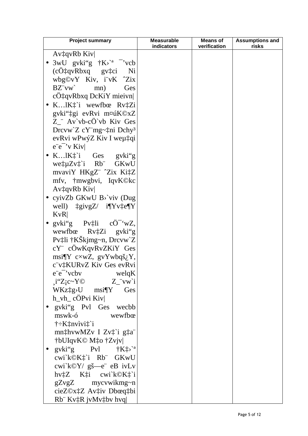| <b>Project summary</b>                                                          | <b>Measurable</b><br>indicators | <b>Means of</b><br>verification | <b>Assumptions and</b><br>risks |
|---------------------------------------------------------------------------------|---------------------------------|---------------------------------|---------------------------------|
| AvtgyRb Kiv                                                                     |                                 |                                 |                                 |
| • 3wU gvki"g $\dagger$ K>' <sup>a -</sup> 'vcb                                  |                                 |                                 |                                 |
| (cÖ‡qvRbxq gv‡ci Ni                                                             |                                 |                                 |                                 |
| wbg©vY Kiv, i"vK ~Zix                                                           |                                 |                                 |                                 |
| $BZ'vw'$ mn)<br>Ges                                                             |                                 |                                 |                                 |
| $c\ddot{\mathrm{Q}}$ : qvRbxq DcKiY mieivn                                      |                                 |                                 |                                 |
| · K lK <sup>*</sup> i wewfbœ Rv <sup>*</sup> Zi                                 |                                 |                                 |                                 |
| gvki"‡gi evRvi m¤úK©xZ                                                          |                                 |                                 |                                 |
| $Z^{\prime\prime}$ Av'vb-cO'vb Kiv Ges                                          |                                 |                                 |                                 |
| Drevw'Z cY"mg~‡ni Dchy <sup>3</sup>                                             |                                 |                                 |                                 |
| evRvi wPwýZ Kiv I weµ‡qi                                                        |                                 |                                 |                                 |
| $e^-e^-$ <sup>v</sup> Kiv                                                       |                                 |                                 |                                 |
| • K $1K_{+}^{+}i$ Ges gvki"g                                                    |                                 |                                 |                                 |
| wetuZvt'i Rb GKwU                                                               |                                 |                                 |                                 |
| mvaviY HKgZ" "Zix Ki‡Z                                                          |                                 |                                 |                                 |
| mfv, †mwgbvi, IqvK©kc                                                           |                                 |                                 |                                 |
| $Av\ddagger qvRb$ Kiv                                                           |                                 |                                 |                                 |
| • cyivZb GKwU B>'viv (Dug                                                       |                                 |                                 |                                 |
| well) $\ddagger$ givgZ/ i¶Yv $\ddagger$ e¶Y                                     |                                 |                                 |                                 |
| KvR                                                                             |                                 |                                 |                                 |
| • gvki"g $Pv\ddagger li$ cO <sup>-</sup> 'wZ,                                   |                                 |                                 |                                 |
| wewfbœ Rv‡Zi gvki"g                                                             |                                 |                                 |                                 |
| $Pv$ ‡li †KŠkjmg~n, Drcvw`Z                                                     |                                 |                                 |                                 |
| cY" cÖwKqvRvZKiY Ges                                                            |                                 |                                 |                                 |
| msi¶Y c $\times wZ$ , gvYwbqš <sub>i</sub> Y,                                   |                                 |                                 |                                 |
| c"v‡KURvZ Kiv Ges evRvi                                                         |                                 |                                 |                                 |
| $e^-e^-$ 'vcbv<br>$w$ elq $K$                                                   |                                 |                                 |                                 |
| $i''Zic-Y@$ $Z_i'vw'i$                                                          |                                 |                                 |                                 |
| $WKz_+^*g$ >U msi¶Y Ges                                                         |                                 |                                 |                                 |
| $h_vh_c$ cOPvi Kiv                                                              |                                 |                                 |                                 |
| gvki"g Pvl Ges wecbb                                                            |                                 |                                 |                                 |
| mswk-ó<br>wewfbo                                                                |                                 |                                 |                                 |
| $\dagger$ : K $\ddagger$ nvivi $\ddagger$ i                                     |                                 |                                 |                                 |
| mn‡hvwMZv I Zv‡`i g‡a"                                                          |                                 |                                 |                                 |
| †bUIqvK© M‡o †Zvjv                                                              |                                 |                                 |                                 |
| gvki"g $Pvl$ $\dagger K^* \gtrsim$ <sup>2</sup>                                 |                                 |                                 |                                 |
| cwi`k©K‡`i Rb" GKwU                                                             |                                 |                                 |                                 |
| cwi`k©Y/ gš—e" eB ivLv                                                          |                                 |                                 |                                 |
| $hv$ <sup><math>\ddagger</math></sup> Z K $\ddagger$ i cwi $k$ ©K $\ddagger$ 'i |                                 |                                 |                                 |
| $gZvgZ$ mycvwikmg~n                                                             |                                 |                                 |                                 |
| cieZ©x‡Z Av‡iv Dbœq‡bi                                                          |                                 |                                 |                                 |
| $Rb$ Kv $\ddagger R$ jvMv $\ddagger$ bv hvq                                     |                                 |                                 |                                 |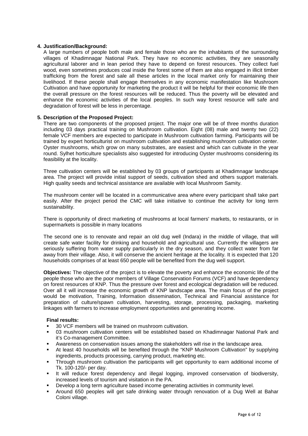## **4. Justification/Background:**

A large numbers of people both male and female those who are the inhabitants of the surrounding villages of Khadimnagar National Park. They have no economic activities, they are seasonally agricultural laborer and in lean period they have to depend on forest resources. They collect fuel wood, even sometimes produces coal inside the forest some of them are also engaged in illicit timber trafficking from the forest and sale all these articles in the local market only for maintaining their livelihood. If these people shall engage themselves in any economic manifestation like Mushroom Cultivation and have opportunity for marketing the product it will be helpful for their economic life then the overall pressure on the forest resources will be reduced. Thus the poverty will be elevated and enhance the economic activities of the local peoples. In such way forest resource will safe and degradation of forest will be less in percentage.

### **5. Description of the Proposed Project:**

There are two components of the proposed project. The major one will be of three months duration including 03 days practical training on Mushroom cultivation. Eight (08) male and twenty two (22) female VCF members are expected to participate in Mushroom cultivation farming. Participants will be trained by expert horticulturist on mushroom cultivation and establishing mushroom cultivation center. Oyster mushrooms, which grow on many substrates, are easiest and which can cultivate in the year round. Sylhet horticulture specialists also suggested for introducing Oyster mushrooms considering its feasibility at the locality.

Three cultivation centers will be established by 03 groups of participants at Khadimnagar landscape area. The project will provide initial support of seeds, cultivation shed and others support materials. High quality seeds and technical assistance are available with local Mushroom Samity.

The mushroom center will be located in a communicative area where every participant shall take part easily. After the project period the CMC will take initiative to continue the activity for long term sustainability.

There is opportunity of direct marketing of mushrooms at local farmers' markets, to restaurants, or in supermarkets is possible in many locations

The second one is to renovate and repair an old dug well (Indara) in the middle of village, that will create safe water facility for drinking and household and agricultural use. Currently the villagers are seriously suffering from water supply particularly in the dry season, and they collect water from far away from their village. Also, it will conserve the ancient heritage at the locality. It is expected that 120 households comprises of at least 650 people will be benefited from the dug well support.

**Objectives:** The objective of the project is to elevate the poverty and enhance the economic life of the people those who are the poor members of Village Conservation Forums (VCF) and have dependency on forest resources of KNP. Thus the pressure over forest and ecological degradation will be reduced. Over all it will increase the economic growth of KNP landscape area. The main focus of the project would be motivation, Training, Information dissemination, Technical and Financial assistance for preparation of culture/spawn cultivation, harvesting, storage, processing, packaging, marketing linkages with farmers to increase employment opportunities and generating income.

### **Final results:**

- 30 VCF members will be trained on mushroom cultivation.
- 03 mushroom cultivation centers will be established based on Khadimnagar National Park and it's Co-management Committee.
- Awareness on conservation issues among the stakeholders will rise in the landscape area.
- At least 40 households will be benefited through the "KNP Mushroom Cultivation" by supplying ingredients, products processing, carrying product, marketing etc.
- Through mushroom cultivation the participants will get opportunity to earn additional income of Tk. 100-120/- per day.
- It will reduce forest dependency and illegal logging, improved conservation of biodiversity, increased levels of tourism and visitation in the PA.
- Develop a long term agriculture based income generating activities in community level.
- Around 650 peoples will get safe drinking water through renovation of a Dug Well at Bahar Coloni village.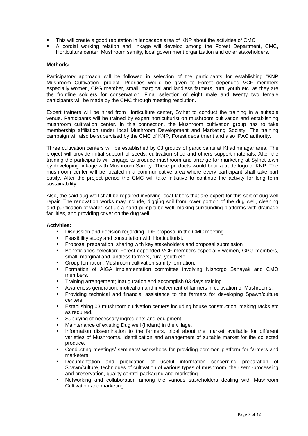- This will create a good reputation in landscape area of KNP about the activities of CMC.
- A cordial working relation and linkage will develop among the Forest Department, CMC, Horticulture center, Mushroom samity, local government organization and other stakeholders.

#### **Methods:**

Participatory approach will be followed in selection of the participants for establishing "KNP Mushroom Cultivation" project. Priorities would be given to Forest depended VCF members especially women, CPG member, small, marginal and landless farmers, rural youth etc. as they are the frontline soldiers for conservation. Final selection of eight male and twenty two female participants will be made by the CMC through meeting resolution.

Expert trainers will be hired from Horticulture center, Sylhet to conduct the training in a suitable venue. Participants will be trained by expert horticulturist on mushroom cultivation and establishing mushroom cultivation center. In this connection, the Mushroom cultivation group has to take membership affiliation under local Mushroom Development and Marketing Society. The training campaign will also be supervised by the CMC of KNP, Forest department and also IPAC authority.

Three cultivation centers will be established by 03 groups of participants at Khadimnagar area. The project will provide initial support of seeds, cultivation shed and others support materials. After the training the participants will engage to produce mushroom and arrange for marketing at Sylhet town by developing linkage with Mushroom Samity. These products would bear a trade logo of KNP. The mushroom center will be located in a communicative area where every participant shall take part easily. After the project period the CMC will take initiative to continue the activity for long term sustainability.

Also, the said dug well shall be repaired involving local labors that are expert for this sort of dug well repair. The renovation works may include, digging soil from lower portion of the dug well, cleaning and purification of water, set up a hand pump tube well, making surrounding platforms with drainage facilities, and providing cover on the dug well.

### **Activities:**

- Discussion and decision regarding LDF proposal in the CMC meeting.
- Feasibility study and consultation with Horticulturist.
- Proposal preparation, sharing with key stakeholders and proposal submission
- Beneficiaries selection; Forest depended VCF members especially women, GPG members, small, marginal and landless farmers, rural youth etc.
- Group formation, Mushroom cultivation samity formation.
- Formation of AIGA implementation committee involving Nishorgo Sahayak and CMO members.
- Training arrangement; Inauguration and accomplish 03 days training.
- Awareness generation, motivation and involvement of farmers in cultivation of Mushrooms.
- Providing technical and financial assistance to the farmers for developing Spawn/culture centers.
- Establishing 03 mushroom cultivation centers including house construction, making racks etc as required.
- Supplying of necessary ingredients and equipment.
- Maintenance of existing Dug well (Indara) in the village.
- Information dissemination to the farmers, tribal about the market available for different varieties of Mushrooms. Identification and arrangement of suitable market for the collected produce.
- Conducting meetings/ seminars/ workshops for providing common platform for farmers and marketers.
- Documentation and publication of useful information concerning preparation of Spawn/culture, techniques of cultivation of various types of mushroom, their semi-processing and preservation, quality control packaging and marketing.
- Networking and collaboration among the various stakeholders dealing with Mushroom Cultivation and marketing.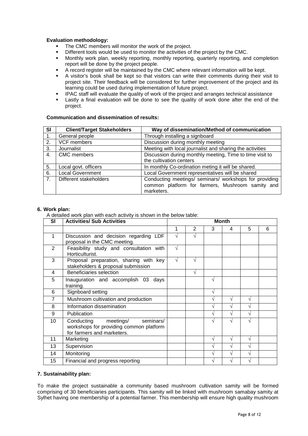## **Evaluation methodology:**

- The CMC members will monitor the work of the project.
- Different tools would be used to monitor the activities of the project by the CMC.
- Monthly work plan, weekly reporting, monthly reporting, quarterly reporting, and completion report will be done by the project people.
- A record register will be maintained by the CMC where relevant information will be kept.
- A visitor's book shall be kept so that visitors can write their comments during their visit to project site. Their feedback will be considered for further improvement of the project and its learning could be used during implementation of future project.
- IPAC staff will evaluate the quality of work of the project and arranges technical assistance
- Lastly a final evaluation will be done to see the quality of work done after the end of the project.

## **Communication and dissemination of results:**

| SI             | <b>Client/Target Stakeholders</b> | Way of dissemination/Method of communication             |  |  |  |
|----------------|-----------------------------------|----------------------------------------------------------|--|--|--|
| 1.             | General people                    | Through installing a signboard                           |  |  |  |
| 2.             | VCF members                       | Discussion during monthly meeting                        |  |  |  |
| 3.             | Journalist                        | Meeting with local journalist and sharing the activities |  |  |  |
| 4.             | <b>CMC</b> members                | Discussion during monthly meeting, Time to time visit to |  |  |  |
|                |                                   | the cultivation centers                                  |  |  |  |
| 5.             | Local govt. officers              | In monthly Co-ordination meting it will be shared.       |  |  |  |
| 6.             | <b>Local Government</b>           | Local Government representatives will be shared          |  |  |  |
| 7 <sub>1</sub> | Different stakeholders            | Conducting meetings/ seminars/ workshops for providing   |  |  |  |
|                |                                   | common platform for farmers, Mushroom samity and         |  |  |  |
|                |                                   | marketers.                                               |  |  |  |

### **6. Work plan:**

A detailed work plan with each activity is shown in the below table:

| <b>SI</b> | <b>Activities/ Sub Activities</b>                                                                             | <b>Month</b> |           |   |   |   |   |
|-----------|---------------------------------------------------------------------------------------------------------------|--------------|-----------|---|---|---|---|
|           |                                                                                                               | 1            | 2         | 3 | 4 | 5 | 6 |
| 1         | Discussion and decision regarding LDF<br>proposal in the CMC meeting.                                         | N            | N         |   |   |   |   |
| 2         | Feasibility study and consultation with<br>Horticulturist.                                                    | √            |           |   |   |   |   |
| 3         | Proposal preparation, sharing with key<br>stakeholders & proposal submission                                  | $\sqrt{}$    | $\sqrt{}$ |   |   |   |   |
| 4         | Beneficiaries selection                                                                                       |              | $\sqrt{}$ |   |   |   |   |
| 5         | Inauguration and accomplish 03<br>days<br>training.                                                           |              |           |   |   |   |   |
| 6         | Signboard setting                                                                                             |              |           | V |   |   |   |
| 7         | Mushroom cultivation and production                                                                           |              |           | V |   | V |   |
| 8         | Information dissemination                                                                                     |              |           | V |   | N |   |
| 9         | Publication                                                                                                   |              |           | V |   | N |   |
| 10        | Conducting<br>meetings/<br>seminars/<br>workshops for providing common platform<br>for farmers and marketers. |              |           |   |   | N |   |
| 11        | Marketing                                                                                                     |              |           | V |   | V |   |
| 13        | Supervision                                                                                                   |              |           | V |   | N |   |
| 14        | Monitoring                                                                                                    |              |           | V |   | N |   |
| 15        | Financial and progress reporting                                                                              |              |           | V |   | N |   |

### **7. Sustainability plan:**

To make the project sustainable a community based mushroom cultivation samity will be formed comprising of 30 beneficiaries participants. This samity will be linked with mushroom samabay samity at Sylhet having one membership of a potential farmer. This membership will ensure high quality mushroom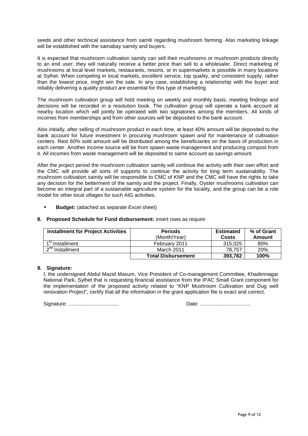seeds and other technical assistance from samiti regarding mushroom farming. Also marketing linkage will be established with the samabay samity and buyers.

It is expected that mushroom cultivation samity can sell their mushrooms or mushroom products directly to an end user; they will naturally receive a better price than sell to a wholesaler. Direct marketing of mushrooms at local level markets, restaurants, resorts, or in supermarkets is possible in many locations at Sylhet. When competing in local markets, excellent service, top quality, and consistent supply, rather than the lowest price, might win the sale. In any case, establishing a relationship with the buyer and reliably delivering a quality product are essential for this type of marketing.

The mushroom cultivation group will hold meeting on weekly and monthly basis, meeting findings and decisions will be recorded in a resolution book. The cultivation group will operate a bank account at nearby location which will jointly be operated with two signatories among the members. All kinds of incomes from memberships and from other sources will be deposited to the bank account.

Also initially, after selling of mushroom product in each time, at least 40% amount will be deposited to the bank account for future investment in procuring mushroom spawn and for maintenance of cultivation centers. Rest 60% sold amount will be distributed among the beneficiaries on the basis of production in each center. Another income source will be from spawn waste management and producing compost from it. All incomes from waste management will be deposited to same account as savings amount.

After the project period the mushroom cultivation samity will continue the activity with their own effort and the CMC will provide all sorts of supports to continue the activity for long term sustainability. The mushroom cultivation samity will be responsible to CMC of KNP and the CMC will have the rights to take any decision for the betterment of the samity and the project. Finally, Oyster mushrooms cultivation can become an integral part of a sustainable agriculture system for the locality, and the group can be a role model for other local villages for such AIG activities.

• **Budget:** (attached as separate Excel sheet)

## **8. Proposed Schedule for Fund disbursement:** insert rows as require

| <b>Installment for Project Activities</b> | <b>Periods</b><br>(Month/Year) | <b>Estimated</b><br>Costs | % of Grant<br>Amount |
|-------------------------------------------|--------------------------------|---------------------------|----------------------|
| $1st$ Installment                         | February 2011                  | 315.025                   | 80%                  |
| $2nd$ Installment                         | March 2011                     | 78.757                    | <b>20%</b>           |
|                                           | <b>Total Disbursement</b>      | 393.782                   | 100%                 |

### **9. Signature:**

 I, the undersigned Abdul Mazid Masum, Vice President of Co-management Committee, Khadimnagar National Park, Sylhet that is requesting financial assistance from the IPAC Small Grant component for the implementation of the proposed activity related to "KNP Mushroom Cultivation and Dug well renovation Project", certify that all the information in the grant application file is exact and correct.

Signature: ................................... Date: ...................................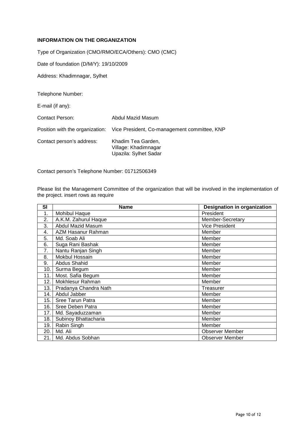## **INFORMATION ON THE ORGANIZATION**

Type of Organization (CMO/RMO/ECA/Others): CMO (CMC)

Date of foundation (D/M/Y): 19/10/2009

Address: Khadimnagar, Sylhet

Telephone Number:

E-mail (if any):

Contact Person: Abdul Mazid Masum Position with the organization: Vice President, Co-management committee, KNP Contact person's address: Khadim Tea Garden, Village: Khadimnagar

Upazila: Sylhet Sadar

Contact person's Telephone Number: 01712506349

Please list the Management Committee of the organization that will be involved in the implementation of the project. insert rows as require

| SI  | <b>Name</b>           | <b>Designation in organization</b> |
|-----|-----------------------|------------------------------------|
| 1.  | Mohibul Haque         | President                          |
| 2.  | A.K.M. Zahurul Haque  | Member-Secretary                   |
| 3.  | Abdul Mazid Masum     | <b>Vice President</b>              |
| 4.  | AZM Hasanur Rahman    | Member                             |
| 5.  | Md. Soab Ali          | Member                             |
| 6.  | Suga Rani Bashak      | Member                             |
| 7.  | Nantu Ranjan Singh    | Member                             |
| 8.  | <b>Mokbul Hossain</b> | Member                             |
| 9.  | <b>Abdus Shahid</b>   | Member                             |
| 10. | Surma Begum           | Member                             |
| 11. | Most. Safia Begum     | Member                             |
| 12. | Mokhlesur Rahman      | Member                             |
| 13. | Pradanya Chandra Nath | Treasurer                          |
| 14. | Abdul Jabber          | Member                             |
| 15. | Sree Tarun Patra      | Member                             |
| 16. | Sree Deben Patra      | Member                             |
| 17. | Md. Sayaduzzaman      | Member                             |
| 18. | Subinoy Bhattacharia  | Member                             |
| 19. | Rabin Singh           | Member                             |
| 20. | Md. Ali               | <b>Observer Member</b>             |
| 21. | Md. Abdus Sobhan      | <b>Observer Member</b>             |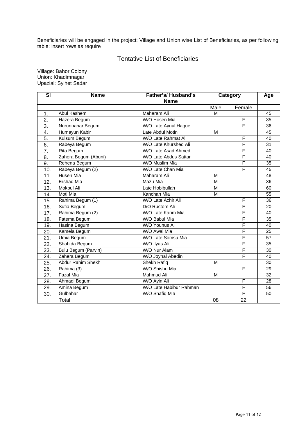Beneficiaries will be engaged in the project: Village and Union wise List of Beneficiaries, as per following table: insert rows as require

## Tentative List of Beneficiaries

Village: Bahor Colony Union: Khadimnagar Upazial: Sylhet Sadar

| SI                | <b>Name</b>          | Father's/Husband's      | Category  |                              | Age             |
|-------------------|----------------------|-------------------------|-----------|------------------------------|-----------------|
|                   |                      | <b>Name</b>             |           |                              |                 |
|                   |                      | Maharam Ali             | Male<br>м | Female                       | 45              |
| 1.                | Abul Kashem          |                         |           |                              |                 |
| 2.                | Hazera Begum         | W/O Hosen Mia           |           | F<br>$\overline{\mathsf{F}}$ | 35              |
| $\overline{3}$ .  | Nurunnahar Begum     | W/O Late Aynul Haque    |           |                              | 36              |
| 4.                | Humayun Kabir        | Late Abdul Motin        | М         |                              | 45              |
| 5.                | Kulsum Begum         | W/O Late Rahmat Ali     |           | F                            | 40              |
| 6.                | Rabeya Begum         | W/O Late Khurshed Ali   |           | $\overline{\mathsf{F}}$      | 31              |
| $\overline{7}$ .  | Rita Begum           | W/O Late Asad Ahmed     |           | $\overline{\mathsf{F}}$      | 40              |
| $\overline{8}$ .  | Zahera Begum (Abuni) | W/O Late Abdus Sattar   |           | F                            | 40              |
| 9.                | Rehena Begum         | W/O Muslim Mia          |           | $\overline{F}$               | 35              |
| 10.               | Rabeya Begum (2)     | W/O Late Chan Mia       |           | F                            | 45              |
| 11.               | Husen Mia            | Maharam Ali             | M         |                              | 48              |
| 12.               | <b>Ershad Mia</b>    | Mazu Mia                | М         |                              | 36              |
| 13.               | <b>Mokbul Ali</b>    | Late Hobibullah         | M         |                              | 60              |
| 14.               | Moti Mia             | Kanchan Mia             | M         |                              | 55              |
| 15.               | Rahima Begum (1)     | W/O Late Achir Ali      |           | F                            | 36              |
| 16.               | Sufia Begum          | D/O Rustom Ali          |           | F                            | 20              |
| 17.               | Rahima Begum (2)     | W/O Late Karim Mia      |           | $\overline{\mathsf{F}}$      | 40              |
| 18.               | Fatema Begum         | W/O Babul Mia           |           | $\overline{\mathsf{F}}$      | 35              |
| 19.               | Hasina Begum         | W/O Younus Ali          |           | F                            | 40              |
| 20.               | Kamela Begum         | W/O Awal Mia            |           | F                            | 25              |
| 21.               | Umia Begum           | W/O Late Somsu Mia      |           | $\overline{\mathsf{F}}$      | 57              |
| 22.               | Shahida Begum        | W/O Ilyas Ali           |           | $\overline{\mathsf{F}}$      | 35              |
| 23.               | Bulu Begum (Parvin)  | W/O Nur Alam            |           | $\overline{\mathsf{F}}$      | 30              |
| 24.               | Zahera Begum         | W/O Joynal Abedin       |           | F                            | 40              |
| $\overline{25}$ . | Abdur Rahim Shekh    | <b>Shekh Rafiq</b>      | M         |                              | 30              |
| 26.               | Rahima (3)           | W/O Shishu Mia          |           | F                            | 29              |
| 27.               | <b>Fazal Mia</b>     | Mahmud Ali              | M         |                              | $\overline{32}$ |
| 28.               | Ahmadi Begum         | W/O Ayin Ali            |           | F                            | 28              |
| 29.               | Amina Begum          | W/O Late Habibur Rahman |           | F                            | 56              |
| 30.               | Gulbahar             | W/O Shafiq Mia          |           | F                            | 50              |
|                   | Total                |                         | 08        | 22                           |                 |